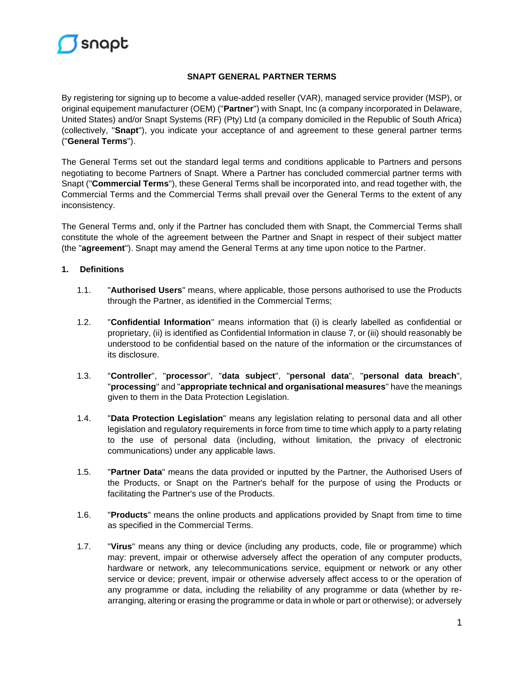

## **SNAPT GENERAL PARTNER TERMS**

By registering tor signing up to become a value-added reseller (VAR), managed service provider (MSP), or original equipement manufacturer (OEM) ("**Partner**") with Snapt, Inc (a company incorporated in Delaware, United States) and/or Snapt Systems (RF) (Pty) Ltd (a company domiciled in the Republic of South Africa) (collectively, "**Snapt**"), you indicate your acceptance of and agreement to these general partner terms ("**General Terms**").

The General Terms set out the standard legal terms and conditions applicable to Partners and persons negotiating to become Partners of Snapt. Where a Partner has concluded commercial partner terms with Snapt ("**Commercial Terms**"), these General Terms shall be incorporated into, and read together with, the Commercial Terms and the Commercial Terms shall prevail over the General Terms to the extent of any inconsistency.

The General Terms and, only if the Partner has concluded them with Snapt, the Commercial Terms shall constitute the whole of the agreement between the Partner and Snapt in respect of their subject matter (the "**agreement**"). Snapt may amend the General Terms at any time upon notice to the Partner.

## **1. Definitions**

- 1.1. "**Authorised Users**" means, where applicable, those persons authorised to use the Products through the Partner, as identified in the Commercial Terms;
- 1.2. "**Confidential Information**" means information that (i) is clearly labelled as confidential or proprietary, (ii) is identified as Confidential Information in clause [7,](#page-4-0) or (iii) should reasonably be understood to be confidential based on the nature of the information or the circumstances of its disclosure.
- 1.3. "**Controller**", "**processor**", "**data subject**", "**personal data**", "**personal data breach**", "**processing**" and "**appropriate technical and organisational measures**" have the meanings given to them in the Data Protection Legislation.
- 1.4. "**Data Protection Legislation**" means any legislation relating to personal data and all other legislation and regulatory requirements in force from time to time which apply to a party relating to the use of personal data (including, without limitation, the privacy of electronic communications) under any applicable laws.
- 1.5. "**Partner Data**" means the data provided or inputted by the Partner, the Authorised Users of the Products, or Snapt on the Partner's behalf for the purpose of using the Products or facilitating the Partner's use of the Products.
- 1.6. "**Products**" means the online products and applications provided by Snapt from time to time as specified in the Commercial Terms.
- 1.7. "**Virus**" means any thing or device (including any products, code, file or programme) which may: prevent, impair or otherwise adversely affect the operation of any computer products, hardware or network, any telecommunications service, equipment or network or any other service or device; prevent, impair or otherwise adversely affect access to or the operation of any programme or data, including the reliability of any programme or data (whether by rearranging, altering or erasing the programme or data in whole or part or otherwise); or adversely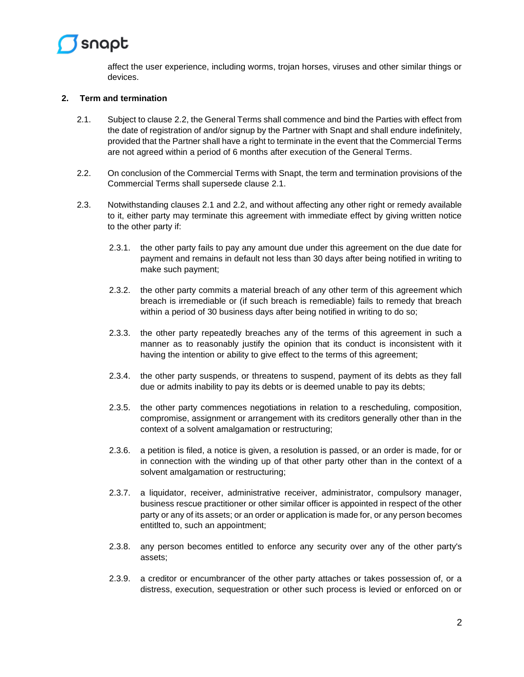

affect the user experience, including worms, trojan horses, viruses and other similar things or devices.

## **2. Term and termination**

- <span id="page-1-1"></span>2.1. Subject to clause [2.2,](#page-1-0) the General Terms shall commence and bind the Parties with effect from the date of registration of and/or signup by the Partner with Snapt and shall endure indefinitely, provided that the Partner shall have a right to terminate in the event that the Commercial Terms are not agreed within a period of 6 months after execution of the General Terms.
- <span id="page-1-0"></span>2.2. On conclusion of the Commercial Terms with Snapt, the term and termination provisions of the Commercial Terms shall supersede clause [2.1.](#page-1-1)
- <span id="page-1-3"></span><span id="page-1-2"></span>2.3. Notwithstanding clauses [2.1](#page-1-1) and [2.2,](#page-1-0) and without affecting any other right or remedy available to it, either party may terminate this agreement with immediate effect by giving written notice to the other party if:
	- 2.3.1. the other party fails to pay any amount due under this agreement on the due date for payment and remains in default not less than 30 days after being notified in writing to make such payment;
	- 2.3.2. the other party commits a material breach of any other term of this agreement which breach is irremediable or (if such breach is remediable) fails to remedy that breach within a period of 30 business days after being notified in writing to do so;
	- 2.3.3. the other party repeatedly breaches any of the terms of this agreement in such a manner as to reasonably justify the opinion that its conduct is inconsistent with it having the intention or ability to give effect to the terms of this agreement;
	- 2.3.4. the other party suspends, or threatens to suspend, payment of its debts as they fall due or admits inability to pay its debts or is deemed unable to pay its debts;
	- 2.3.5. the other party commences negotiations in relation to a rescheduling, composition, compromise, assignment or arrangement with its creditors generally other than in the context of a solvent amalgamation or restructuring;
	- 2.3.6. a petition is filed, a notice is given, a resolution is passed, or an order is made, for or in connection with the winding up of that other party other than in the context of a solvent amalgamation or restructuring;
	- 2.3.7. a liquidator, receiver, administrative receiver, administrator, compulsory manager, business rescue practitioner or other similar officer is appointed in respect of the other party or any of its assets; or an order or application is made for, or any person becomes entitlted to, such an appointment;
	- 2.3.8. any person becomes entitled to enforce any security over any of the other party's assets;
	- 2.3.9. a creditor or encumbrancer of the other party attaches or takes possession of, or a distress, execution, sequestration or other such process is levied or enforced on or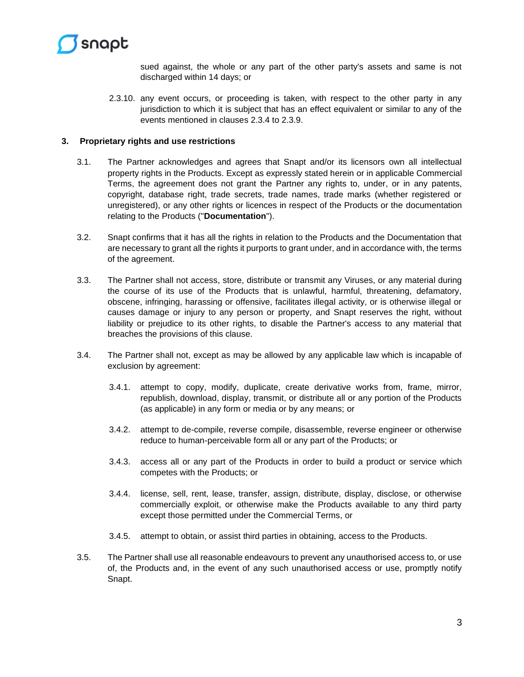

sued against, the whole or any part of the other party's assets and same is not discharged within 14 days; or

2.3.10. any event occurs, or proceeding is taken, with respect to the other party in any jurisdiction to which it is subject that has an effect equivalent or similar to any of the events mentioned in clauses [2.3.4](#page-1-2) to [2.3.9.](#page-1-3)

## **3. Proprietary rights and use restrictions**

- 3.1. The Partner acknowledges and agrees that Snapt and/or its licensors own all intellectual property rights in the Products. Except as expressly stated herein or in applicable Commercial Terms, the agreement does not grant the Partner any rights to, under, or in any patents, copyright, database right, trade secrets, trade names, trade marks (whether registered or unregistered), or any other rights or licences in respect of the Products or the documentation relating to the Products ("**Documentation**").
- 3.2. Snapt confirms that it has all the rights in relation to the Products and the Documentation that are necessary to grant all the rights it purports to grant under, and in accordance with, the terms of the agreement.
- 3.3. The Partner shall not access, store, distribute or transmit any Viruses, or any material during the course of its use of the Products that is unlawful, harmful, threatening, defamatory, obscene, infringing, harassing or offensive, facilitates illegal activity, or is otherwise illegal or causes damage or injury to any person or property, and Snapt reserves the right, without liability or prejudice to its other rights, to disable the Partner's access to any material that breaches the provisions of this clause.
- 3.4. The Partner shall not, except as may be allowed by any applicable law which is incapable of exclusion by agreement:
	- 3.4.1. attempt to copy, modify, duplicate, create derivative works from, frame, mirror, republish, download, display, transmit, or distribute all or any portion of the Products (as applicable) in any form or media or by any means; or
	- 3.4.2. attempt to de-compile, reverse compile, disassemble, reverse engineer or otherwise reduce to human-perceivable form all or any part of the Products; or
	- 3.4.3. access all or any part of the Products in order to build a product or service which competes with the Products; or
	- 3.4.4. license, sell, rent, lease, transfer, assign, distribute, display, disclose, or otherwise commercially exploit, or otherwise make the Products available to any third party except those permitted under the Commercial Terms, or
	- 3.4.5. attempt to obtain, or assist third parties in obtaining, access to the Products.
- 3.5. The Partner shall use all reasonable endeavours to prevent any unauthorised access to, or use of, the Products and, in the event of any such unauthorised access or use, promptly notify Snapt.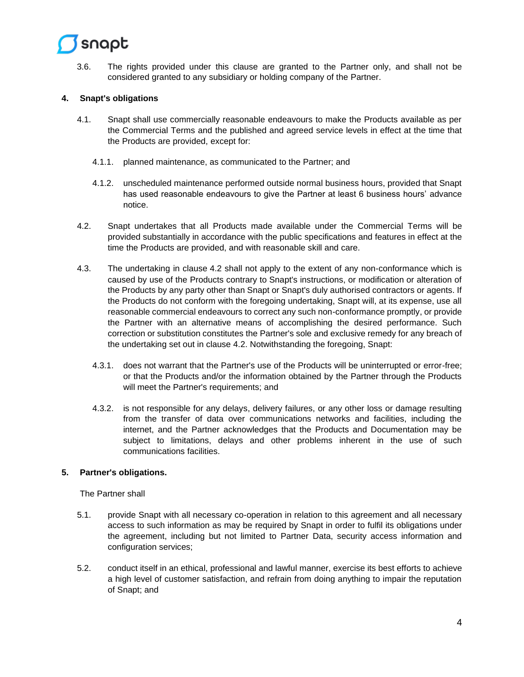

3.6. The rights provided under this clause are granted to the Partner only, and shall not be considered granted to any subsidiary or holding company of the Partner.

## **4. Snapt's obligations**

- 4.1. Snapt shall use commercially reasonable endeavours to make the Products available as per the Commercial Terms and the published and agreed service levels in effect at the time that the Products are provided, except for:
	- 4.1.1. planned maintenance, as communicated to the Partner; and
	- 4.1.2. unscheduled maintenance performed outside normal business hours, provided that Snapt has used reasonable endeavours to give the Partner at least 6 business hours' advance notice.
- <span id="page-3-0"></span>4.2. Snapt undertakes that all Products made available under the Commercial Terms will be provided substantially in accordance with the public specifications and features in effect at the time the Products are provided, and with reasonable skill and care.
- 4.3. The undertaking in clause [4.2](#page-3-0) shall not apply to the extent of any non-conformance which is caused by use of the Products contrary to Snapt's instructions, or modification or alteration of the Products by any party other than Snapt or Snapt's duly authorised contractors or agents. If the Products do not conform with the foregoing undertaking, Snapt will, at its expense, use all reasonable commercial endeavours to correct any such non-conformance promptly, or provide the Partner with an alternative means of accomplishing the desired performance. Such correction or substitution constitutes the Partner's sole and exclusive remedy for any breach of the undertaking set out in clause [4.2.](#page-3-0) Notwithstanding the foregoing, Snapt:
	- 4.3.1. does not warrant that the Partner's use of the Products will be uninterrupted or error-free; or that the Products and/or the information obtained by the Partner through the Products will meet the Partner's requirements; and
	- 4.3.2. is not responsible for any delays, delivery failures, or any other loss or damage resulting from the transfer of data over communications networks and facilities, including the internet, and the Partner acknowledges that the Products and Documentation may be subject to limitations, delays and other problems inherent in the use of such communications facilities.

## **5. Partner's obligations.**

The Partner shall

- 5.1. provide Snapt with all necessary co-operation in relation to this agreement and all necessary access to such information as may be required by Snapt in order to fulfil its obligations under the agreement, including but not limited to Partner Data, security access information and configuration services;
- 5.2. conduct itself in an ethical, professional and lawful manner, exercise its best efforts to achieve a high level of customer satisfaction, and refrain from doing anything to impair the reputation of Snapt; and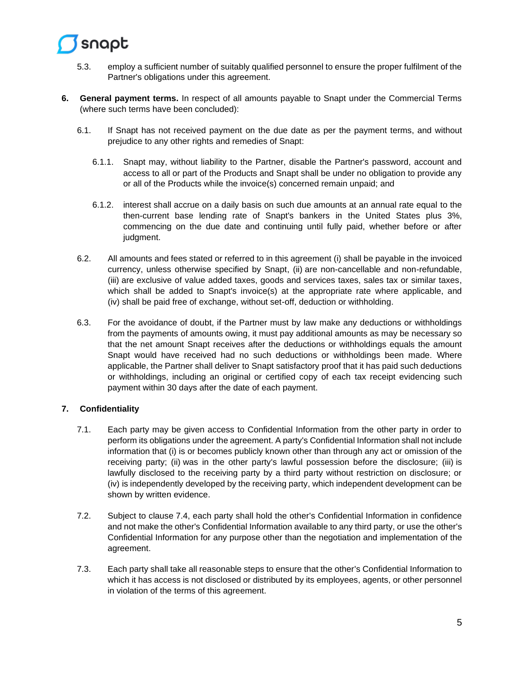

- 5.3. employ a sufficient number of suitably qualified personnel to ensure the proper fulfilment of the Partner's obligations under this agreement.
- **6. General payment terms.** In respect of all amounts payable to Snapt under the Commercial Terms (where such terms have been concluded):
	- 6.1. If Snapt has not received payment on the due date as per the payment terms, and without prejudice to any other rights and remedies of Snapt:
		- 6.1.1. Snapt may, without liability to the Partner, disable the Partner's password, account and access to all or part of the Products and Snapt shall be under no obligation to provide any or all of the Products while the invoice(s) concerned remain unpaid; and
		- 6.1.2. interest shall accrue on a daily basis on such due amounts at an annual rate equal to the then-current base lending rate of Snapt's bankers in the United States plus 3%, commencing on the due date and continuing until fully paid, whether before or after judgment.
	- 6.2. All amounts and fees stated or referred to in this agreement (i) shall be payable in the invoiced currency, unless otherwise specified by Snapt, (ii) are non-cancellable and non-refundable, (iii) are exclusive of value added taxes, goods and services taxes, sales tax or similar taxes, which shall be added to Snapt's invoice(s) at the appropriate rate where applicable, and (iv) shall be paid free of exchange, without set-off, deduction or withholding.
	- 6.3. For the avoidance of doubt, if the Partner must by law make any deductions or withholdings from the payments of amounts owing, it must pay additional amounts as may be necessary so that the net amount Snapt receives after the deductions or withholdings equals the amount Snapt would have received had no such deductions or withholdings been made. Where applicable, the Partner shall deliver to Snapt satisfactory proof that it has paid such deductions or withholdings, including an original or certified copy of each tax receipt evidencing such payment within 30 days after the date of each payment.

# <span id="page-4-0"></span>**7. Confidentiality**

- 7.1. Each party may be given access to Confidential Information from the other party in order to perform its obligations under the agreement. A party's Confidential Information shall not include information that (i) is or becomes publicly known other than through any act or omission of the receiving party; (ii) was in the other party's lawful possession before the disclosure; (iii) is lawfully disclosed to the receiving party by a third party without restriction on disclosure; or (iv) is independently developed by the receiving party, which independent development can be shown by written evidence.
- 7.2. Subject to clause [7.4,](#page-5-0) each party shall hold the other's Confidential Information in confidence and not make the other's Confidential Information available to any third party, or use the other's Confidential Information for any purpose other than the negotiation and implementation of the agreement.
- 7.3. Each party shall take all reasonable steps to ensure that the other's Confidential Information to which it has access is not disclosed or distributed by its employees, agents, or other personnel in violation of the terms of this agreement.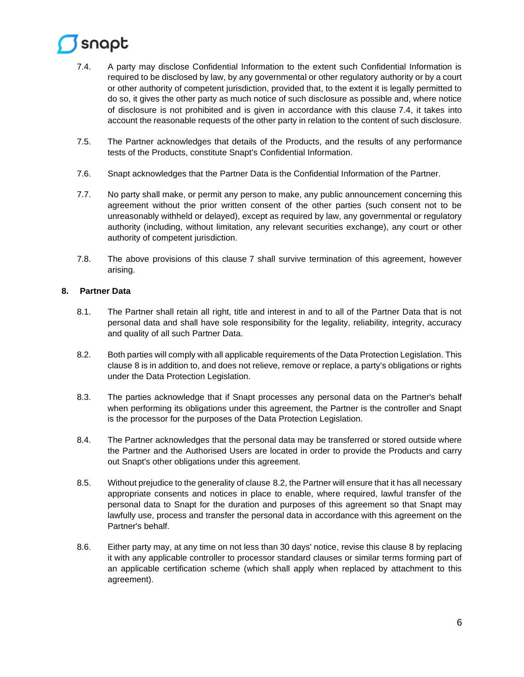# snapt

- <span id="page-5-0"></span>7.4. A party may disclose Confidential Information to the extent such Confidential Information is required to be disclosed by law, by any governmental or other regulatory authority or by a court or other authority of competent jurisdiction, provided that, to the extent it is legally permitted to do so, it gives the other party as much notice of such disclosure as possible and, where notice of disclosure is not prohibited and is given in accordance with this clause [7.4,](#page-5-0) it takes into account the reasonable requests of the other party in relation to the content of such disclosure.
- 7.5. The Partner acknowledges that details of the Products, and the results of any performance tests of the Products, constitute Snapt's Confidential Information.
- 7.6. Snapt acknowledges that the Partner Data is the Confidential Information of the Partner.
- 7.7. No party shall make, or permit any person to make, any public announcement concerning this agreement without the prior written consent of the other parties (such consent not to be unreasonably withheld or delayed), except as required by law, any governmental or regulatory authority (including, without limitation, any relevant securities exchange), any court or other authority of competent jurisdiction.
- 7.8. The above provisions of this clause [7](#page-4-0) shall survive termination of this agreement, however arising.

# <span id="page-5-1"></span>**8. Partner Data**

- 8.1. The Partner shall retain all right, title and interest in and to all of the Partner Data that is not personal data and shall have sole responsibility for the legality, reliability, integrity, accuracy and quality of all such Partner Data.
- <span id="page-5-2"></span>8.2. Both parties will comply with all applicable requirements of the Data Protection Legislation. This clause [8](#page-5-1) is in addition to, and does not relieve, remove or replace, a party's obligations or rights under the Data Protection Legislation.
- 8.3. The parties acknowledge that if Snapt processes any personal data on the Partner's behalf when performing its obligations under this agreement, the Partner is the controller and Snapt is the processor for the purposes of the Data Protection Legislation.
- 8.4. The Partner acknowledges that the personal data may be transferred or stored outside where the Partner and the Authorised Users are located in order to provide the Products and carry out Snapt's other obligations under this agreement.
- 8.5. Without prejudice to the generality of clause [8.2,](#page-5-2) the Partner will ensure that it has all necessary appropriate consents and notices in place to enable, where required, lawful transfer of the personal data to Snapt for the duration and purposes of this agreement so that Snapt may lawfully use, process and transfer the personal data in accordance with this agreement on the Partner's behalf.
- 8.6. Either party may, at any time on not less than 30 days' notice, revise this clause [8](#page-5-1) by replacing it with any applicable controller to processor standard clauses or similar terms forming part of an applicable certification scheme (which shall apply when replaced by attachment to this agreement).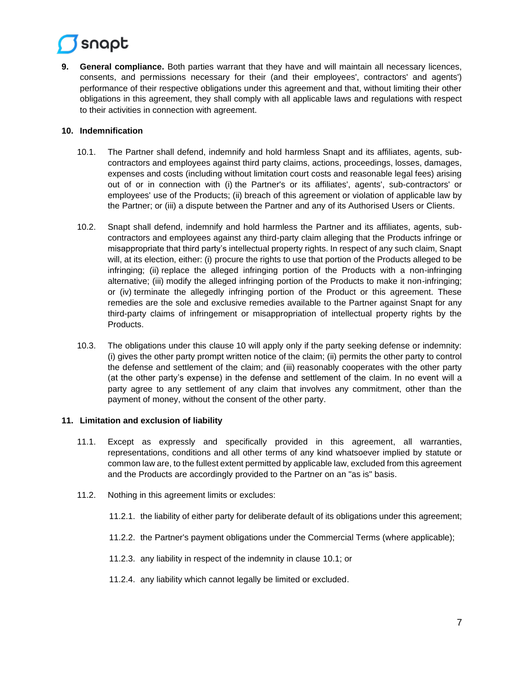# snapt

**9. General compliance.** Both parties warrant that they have and will maintain all necessary licences, consents, and permissions necessary for their (and their employees', contractors' and agents') performance of their respective obligations under this agreement and that, without limiting their other obligations in this agreement, they shall comply with all applicable laws and regulations with respect to their activities in connection with agreement.

# <span id="page-6-0"></span>**10. Indemnification**

- <span id="page-6-1"></span>10.1. The Partner shall defend, indemnify and hold harmless Snapt and its affiliates, agents, subcontractors and employees against third party claims, actions, proceedings, losses, damages, expenses and costs (including without limitation court costs and reasonable legal fees) arising out of or in connection with (i) the Partner's or its affiliates', agents', sub-contractors' or employees' use of the Products; (ii) breach of this agreement or violation of applicable law by the Partner; or (iii) a dispute between the Partner and any of its Authorised Users or Clients.
- 10.2. Snapt shall defend, indemnify and hold harmless the Partner and its affiliates, agents, subcontractors and employees against any third-party claim alleging that the Products infringe or misappropriate that third party's intellectual property rights. In respect of any such claim, Snapt will, at its election, either: (i) procure the rights to use that portion of the Products alleged to be infringing; (ii) replace the alleged infringing portion of the Products with a non-infringing alternative; (iii) modify the alleged infringing portion of the Products to make it non-infringing; or (iv) terminate the allegedly infringing portion of the Product or this agreement. These remedies are the sole and exclusive remedies available to the Partner against Snapt for any third-party claims of infringement or misappropriation of intellectual property rights by the Products.
- 10.3. The obligations under this clause [10](#page-6-0) will apply only if the party seeking defense or indemnity: (i) gives the other party prompt written notice of the claim; (ii) permits the other party to control the defense and settlement of the claim; and (iii) reasonably cooperates with the other party (at the other party's expense) in the defense and settlement of the claim. In no event will a party agree to any settlement of any claim that involves any commitment, other than the payment of money, without the consent of the other party.

# **11. Limitation and exclusion of liability**

- <span id="page-6-2"></span>11.1. Except as expressly and specifically provided in this agreement, all warranties, representations, conditions and all other terms of any kind whatsoever implied by statute or common law are, to the fullest extent permitted by applicable law, excluded from this agreement and the Products are accordingly provided to the Partner on an "as is" basis.
- <span id="page-6-3"></span>11.2. Nothing in this agreement limits or excludes:
	- 11.2.1. the liability of either party for deliberate default of its obligations under this agreement;
	- 11.2.2. the Partner's payment obligations under the Commercial Terms (where applicable);
	- 11.2.3. any liability in respect of the indemnity in clause [10.1;](#page-6-1) or
	- 11.2.4. any liability which cannot legally be limited or excluded.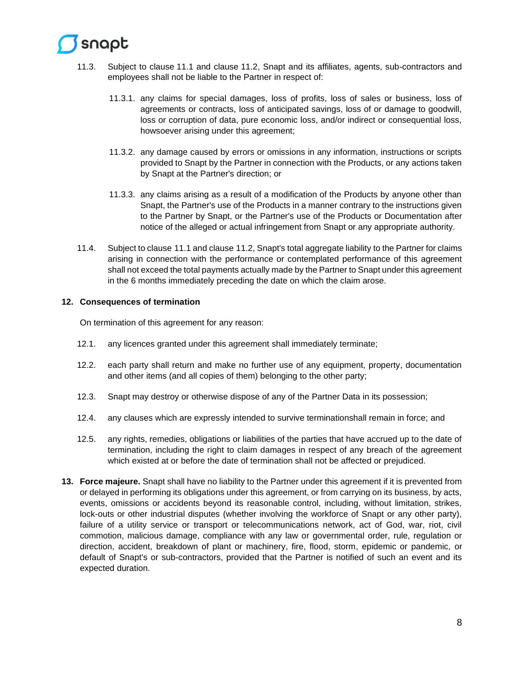

- 11.3. Subject to clause [11.1](#page-6-2) and clause [11.2,](#page-6-3) Snapt and its affiliates, agents, sub-contractors and employees shall not be liable to the Partner in respect of:
	- 11.3.1. any claims for special damages, loss of profits, loss of sales or business, loss of agreements or contracts, loss of anticipated savings, loss of or damage to goodwill, loss or corruption of data, pure economic loss, and/or indirect or consequential loss, howsoever arising under this agreement;
	- 11.3.2. any damage caused by errors or omissions in any information, instructions or scripts provided to Snapt by the Partner in connection with the Products, or any actions taken by Snapt at the Partner's direction; or
	- 11.3.3. any claims arising as a result of a modification of the Products by anyone other than Snapt, the Partner's use of the Products in a manner contrary to the instructions given to the Partner by Snapt, or the Partner's use of the Products or Documentation after notice of the alleged or actual infringement from Snapt or any appropriate authority.
- 11.4. Subject to clause [11.1](#page-6-2) and clause [11.2,](#page-6-3) Snapt's total aggregate liability to the Partner for claims arising in connection with the performance or contemplated performance of this agreement shall not exceed the total payments actually made by the Partner to Snapt under this agreement in the 6 months immediately preceding the date on which the claim arose.

## **12. Consequences of termination**

On termination of this agreement for any reason:

- 12.1. any licences granted under this agreement shall immediately terminate;
- 12.2. each party shall return and make no further use of any equipment, property, documentation and other items (and all copies of them) belonging to the other party;
- 12.3. Snapt may destroy or otherwise dispose of any of the Partner Data in its possession;
- 12.4. any clauses which are expressly intended to survive terminationshall remain in force; and
- 12.5. any rights, remedies, obligations or liabilities of the parties that have accrued up to the date of termination, including the right to claim damages in respect of any breach of the agreement which existed at or before the date of termination shall not be affected or prejudiced.
- **13. Force majeure.** Snapt shall have no liability to the Partner under this agreement if it is prevented from or delayed in performing its obligations under this agreement, or from carrying on its business, by acts, events, omissions or accidents beyond its reasonable control, including, without limitation, strikes, lock-outs or other industrial disputes (whether involving the workforce of Snapt or any other party), failure of a utility service or transport or telecommunications network, act of God, war, riot, civil commotion, malicious damage, compliance with any law or governmental order, rule, regulation or direction, accident, breakdown of plant or machinery, fire, flood, storm, epidemic or pandemic, or default of Snapt's or sub-contractors, provided that the Partner is notified of such an event and its expected duration.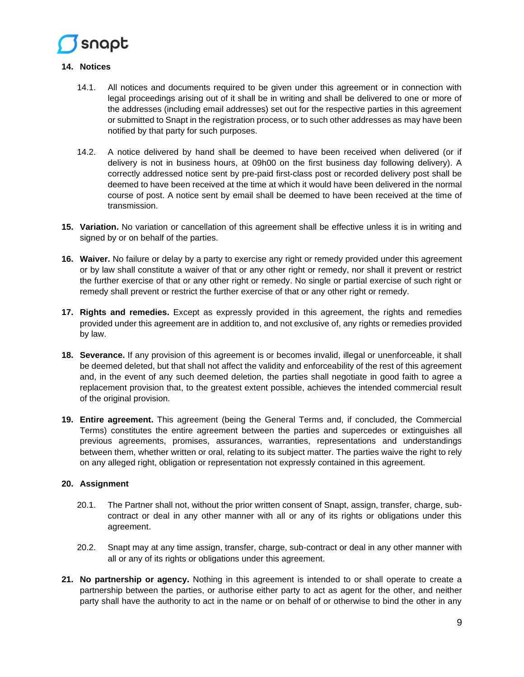

## **14. Notices**

- 14.1. All notices and documents required to be given under this agreement or in connection with legal proceedings arising out of it shall be in writing and shall be delivered to one or more of the addresses (including email addresses) set out for the respective parties in this agreement or submitted to Snapt in the registration process, or to such other addresses as may have been notified by that party for such purposes.
- 14.2. A notice delivered by hand shall be deemed to have been received when delivered (or if delivery is not in business hours, at 09h00 on the first business day following delivery). A correctly addressed notice sent by pre-paid first-class post or recorded delivery post shall be deemed to have been received at the time at which it would have been delivered in the normal course of post. A notice sent by email shall be deemed to have been received at the time of transmission.
- **15. Variation.** No variation or cancellation of this agreement shall be effective unless it is in writing and signed by or on behalf of the parties.
- **16. Waiver.** No failure or delay by a party to exercise any right or remedy provided under this agreement or by law shall constitute a waiver of that or any other right or remedy, nor shall it prevent or restrict the further exercise of that or any other right or remedy. No single or partial exercise of such right or remedy shall prevent or restrict the further exercise of that or any other right or remedy.
- **17. Rights and remedies.** Except as expressly provided in this agreement, the rights and remedies provided under this agreement are in addition to, and not exclusive of, any rights or remedies provided by law.
- **18. Severance.** If any provision of this agreement is or becomes invalid, illegal or unenforceable, it shall be deemed deleted, but that shall not affect the validity and enforceability of the rest of this agreement and, in the event of any such deemed deletion, the parties shall negotiate in good faith to agree a replacement provision that, to the greatest extent possible, achieves the intended commercial result of the original provision.
- **19. Entire agreement.** This agreement (being the General Terms and, if concluded, the Commercial Terms) constitutes the entire agreement between the parties and supercedes or extinguishes all previous agreements, promises, assurances, warranties, representations and understandings between them, whether written or oral, relating to its subject matter. The parties waive the right to rely on any alleged right, obligation or representation not expressly contained in this agreement.

## **20. Assignment**

- 20.1. The Partner shall not, without the prior written consent of Snapt, assign, transfer, charge, subcontract or deal in any other manner with all or any of its rights or obligations under this agreement.
- 20.2. Snapt may at any time assign, transfer, charge, sub-contract or deal in any other manner with all or any of its rights or obligations under this agreement.
- **21. No partnership or agency.** Nothing in this agreement is intended to or shall operate to create a partnership between the parties, or authorise either party to act as agent for the other, and neither party shall have the authority to act in the name or on behalf of or otherwise to bind the other in any